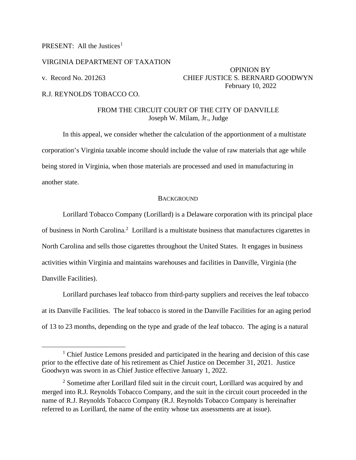# PRESENT: All the Justices<sup>[1](#page-0-0)</sup>

## VIRGINIA DEPARTMENT OF TAXATION

OPINION BY v. Record No. 201263 CHIEF JUSTICE S. BERNARD GOODWYN February 10, 2022

## R.J. REYNOLDS TOBACCO CO.

## FROM THE CIRCUIT COURT OF THE CITY OF DANVILLE Joseph W. Milam, Jr., Judge

In this appeal, we consider whether the calculation of the apportionment of a multistate corporation's Virginia taxable income should include the value of raw materials that age while being stored in Virginia, when those materials are processed and used in manufacturing in another state.

#### **BACKGROUND**

Lorillard Tobacco Company (Lorillard) is a Delaware corporation with its principal place of business in North Carolina.<sup>[2](#page-0-1)</sup> Lorillard is a multistate business that manufactures cigarettes in North Carolina and sells those cigarettes throughout the United States. It engages in business activities within Virginia and maintains warehouses and facilities in Danville, Virginia (the Danville Facilities).

Lorillard purchases leaf tobacco from third-party suppliers and receives the leaf tobacco at its Danville Facilities. The leaf tobacco is stored in the Danville Facilities for an aging period of 13 to 23 months, depending on the type and grade of the leaf tobacco. The aging is a natural

<span id="page-0-0"></span><sup>&</sup>lt;sup>1</sup> Chief Justice Lemons presided and participated in the hearing and decision of this case prior to the effective date of his retirement as Chief Justice on December 31, 2021. Justice Goodwyn was sworn in as Chief Justice effective January 1, 2022.

<span id="page-0-1"></span><sup>&</sup>lt;sup>2</sup> Sometime after Lorillard filed suit in the circuit court, Lorillard was acquired by and merged into R.J. Reynolds Tobacco Company, and the suit in the circuit court proceeded in the name of R.J. Reynolds Tobacco Company (R.J. Reynolds Tobacco Company is hereinafter referred to as Lorillard, the name of the entity whose tax assessments are at issue).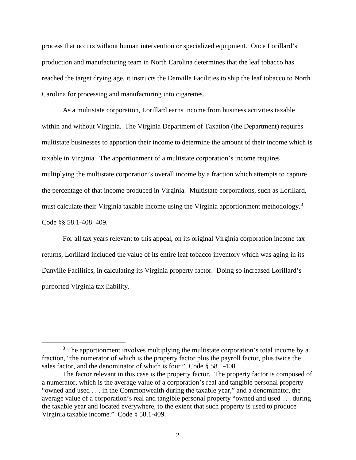process that occurs without human intervention or specialized equipment. Once Lorillard's production and manufacturing team in North Carolina determines that the leaf tobacco has reached the target drying age, it instructs the Danville Facilities to ship the leaf tobacco to North Carolina for processing and manufacturing into cigarettes.

As a multistate corporation, Lorillard earns income from business activities taxable within and without Virginia. The Virginia Department of Taxation (the Department) requires multistate businesses to apportion their income to determine the amount of their income which is taxable in Virginia. The apportionment of a multistate corporation's income requires multiplying the multistate corporation's overall income by a fraction which attempts to capture the percentage of that income produced in Virginia. Multistate corporations, such as Lorillard, must calculate their Virginia taxable income using the Virginia apportionment methodology.<sup>[3](#page-1-0)</sup> Code §§ 58.1-408–409.

For all tax years relevant to this appeal, on its original Virginia corporation income tax returns, Lorillard included the value of its entire leaf tobacco inventory which was aging in its Danville Facilities, in calculating its Virginia property factor. Doing so increased Lorillard's purported Virginia tax liability.

<span id="page-1-0"></span> $3$  The apportionment involves multiplying the multistate corporation's total income by a fraction, "the numerator of which is the property factor plus the payroll factor, plus twice the sales factor, and the denominator of which is four." Code § 58.1-408.

The factor relevant in this case is the property factor. The property factor is composed of a numerator, which is the average value of a corporation's real and tangible personal property "owned and used . . . in the Commonwealth during the taxable year," and a denominator, the average value of a corporation's real and tangible personal property "owned and used . . . during the taxable year and located everywhere, to the extent that such property is used to produce Virginia taxable income." Code § 58.1-409.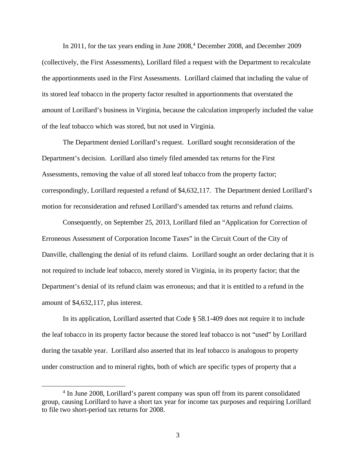In 2011, for the tax years ending in June 2008,<sup>[4](#page-2-0)</sup> December 2008, and December 2009 (collectively, the First Assessments), Lorillard filed a request with the Department to recalculate the apportionments used in the First Assessments. Lorillard claimed that including the value of its stored leaf tobacco in the property factor resulted in apportionments that overstated the amount of Lorillard's business in Virginia, because the calculation improperly included the value of the leaf tobacco which was stored, but not used in Virginia.

The Department denied Lorillard's request. Lorillard sought reconsideration of the Department's decision. Lorillard also timely filed amended tax returns for the First Assessments, removing the value of all stored leaf tobacco from the property factor; correspondingly, Lorillard requested a refund of \$4,632,117. The Department denied Lorillard's motion for reconsideration and refused Lorillard's amended tax returns and refund claims.

Consequently, on September 25, 2013, Lorillard filed an "Application for Correction of Erroneous Assessment of Corporation Income Taxes" in the Circuit Court of the City of Danville, challenging the denial of its refund claims. Lorillard sought an order declaring that it is not required to include leaf tobacco, merely stored in Virginia, in its property factor; that the Department's denial of its refund claim was erroneous; and that it is entitled to a refund in the amount of \$4,632,117, plus interest.

In its application, Lorillard asserted that Code § 58.1-409 does not require it to include the leaf tobacco in its property factor because the stored leaf tobacco is not "used" by Lorillard during the taxable year. Lorillard also asserted that its leaf tobacco is analogous to property under construction and to mineral rights, both of which are specific types of property that a

<span id="page-2-0"></span><sup>&</sup>lt;sup>4</sup> In June 2008, Lorillard's parent company was spun off from its parent consolidated group, causing Lorillard to have a short tax year for income tax purposes and requiring Lorillard to file two short-period tax returns for 2008.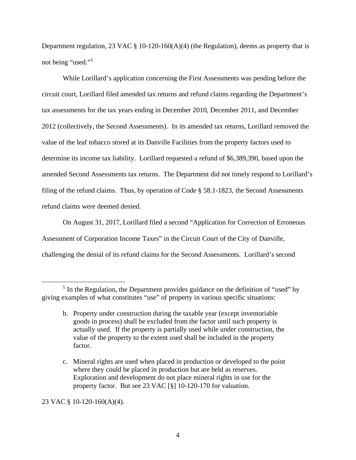Department regulation, 23 VAC  $\S$  10-120-160(A)(4) (the Regulation), deems as property that is not being "used."[5](#page-3-0)

While Lorillard's application concerning the First Assessments was pending before the circuit court, Lorillard filed amended tax returns and refund claims regarding the Department's tax assessments for the tax years ending in December 2010, December 2011, and December 2012 (collectively, the Second Assessments). In its amended tax returns, Lorillard removed the value of the leaf tobacco stored at its Danville Facilities from the property factors used to determine its income tax liability. Lorillard requested a refund of \$6,389,390, based upon the amended Second Assessments tax returns. The Department did not timely respond to Lorillard's filing of the refund claims. Thus, by operation of Code § 58.1-1823, the Second Assessments refund claims were deemed denied.

On August 31, 2017, Lorillard filed a second "Application for Correction of Erroneous Assessment of Corporation Income Taxes" in the Circuit Court of the City of Danville, challenging the denial of its refund claims for the Second Assessments. Lorillard's second

23 VAC § 10-120-160(A)(4).

<span id="page-3-0"></span><sup>&</sup>lt;sup>5</sup> In the Regulation, the Department provides guidance on the definition of "used" by giving examples of what constitutes "use" of property in various specific situations:

b. Property under construction during the taxable year (except inventoriable goods in process) shall be excluded from the factor until such property is actually used. If the property is partially used while under construction, the value of the property to the extent used shall be included in the property factor.

c. Mineral rights are used when placed in production or developed to the point where they could be placed in production but are held as reserves. Exploration and development do not place mineral rights in use for the property factor. But see [23 VAC \[§\] 10-120-170](https://1.next.westlaw.com/Link/Document/FullText?findType=L&pubNum=1013160&cite=23VAADC10-120-170&originatingDoc=NCDFBB8E019FD11DEB8A5C3C3BABFEDB1&refType=VP&originationContext=document&transitionType=DocumentItem&ppcid=b6e5f0802cdb4c0c9eeeb7da009e8a79&contextData=(sc.Default)) for valuation.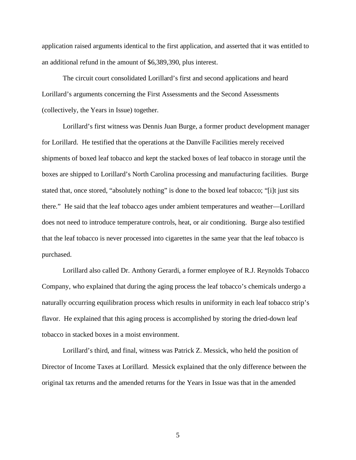application raised arguments identical to the first application, and asserted that it was entitled to an additional refund in the amount of \$6,389,390, plus interest.

The circuit court consolidated Lorillard's first and second applications and heard Lorillard's arguments concerning the First Assessments and the Second Assessments (collectively, the Years in Issue) together.

Lorillard's first witness was Dennis Juan Burge, a former product development manager for Lorillard. He testified that the operations at the Danville Facilities merely received shipments of boxed leaf tobacco and kept the stacked boxes of leaf tobacco in storage until the boxes are shipped to Lorillard's North Carolina processing and manufacturing facilities. Burge stated that, once stored, "absolutely nothing" is done to the boxed leaf tobacco; "[i]t just sits there." He said that the leaf tobacco ages under ambient temperatures and weather—Lorillard does not need to introduce temperature controls, heat, or air conditioning. Burge also testified that the leaf tobacco is never processed into cigarettes in the same year that the leaf tobacco is purchased.

Lorillard also called Dr. Anthony Gerardi, a former employee of R.J. Reynolds Tobacco Company, who explained that during the aging process the leaf tobacco's chemicals undergo a naturally occurring equilibration process which results in uniformity in each leaf tobacco strip's flavor. He explained that this aging process is accomplished by storing the dried-down leaf tobacco in stacked boxes in a moist environment.

Lorillard's third, and final, witness was Patrick Z. Messick, who held the position of Director of Income Taxes at Lorillard. Messick explained that the only difference between the original tax returns and the amended returns for the Years in Issue was that in the amended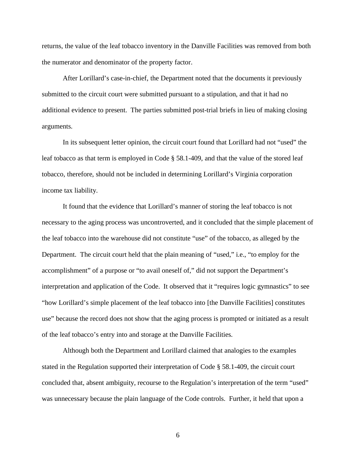returns, the value of the leaf tobacco inventory in the Danville Facilities was removed from both the numerator and denominator of the property factor.

After Lorillard's case-in-chief, the Department noted that the documents it previously submitted to the circuit court were submitted pursuant to a stipulation, and that it had no additional evidence to present. The parties submitted post-trial briefs in lieu of making closing arguments.

In its subsequent letter opinion, the circuit court found that Lorillard had not "used" the leaf tobacco as that term is employed in Code § 58.1-409, and that the value of the stored leaf tobacco, therefore, should not be included in determining Lorillard's Virginia corporation income tax liability.

It found that the evidence that Lorillard's manner of storing the leaf tobacco is not necessary to the aging process was uncontroverted, and it concluded that the simple placement of the leaf tobacco into the warehouse did not constitute "use" of the tobacco, as alleged by the Department. The circuit court held that the plain meaning of "used," i.e., "to employ for the accomplishment" of a purpose or "to avail oneself of," did not support the Department's interpretation and application of the Code. It observed that it "requires logic gymnastics" to see "how Lorillard's simple placement of the leaf tobacco into [the Danville Facilities] constitutes use" because the record does not show that the aging process is prompted or initiated as a result of the leaf tobacco's entry into and storage at the Danville Facilities.

Although both the Department and Lorillard claimed that analogies to the examples stated in the Regulation supported their interpretation of Code § 58.1-409, the circuit court concluded that, absent ambiguity, recourse to the Regulation's interpretation of the term "used" was unnecessary because the plain language of the Code controls. Further, it held that upon a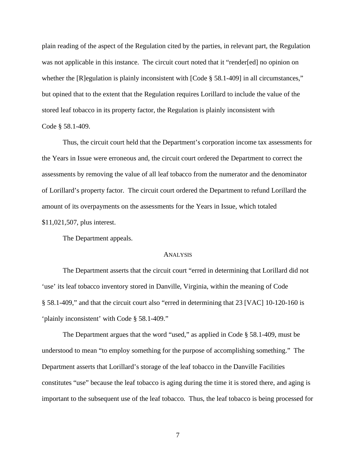plain reading of the aspect of the Regulation cited by the parties, in relevant part, the Regulation was not applicable in this instance. The circuit court noted that it "render[ed] no opinion on whether the [R]egulation is plainly inconsistent with [Code § 58.1-409] in all circumstances," but opined that to the extent that the Regulation requires Lorillard to include the value of the stored leaf tobacco in its property factor, the Regulation is plainly inconsistent with Code § 58.1-409.

Thus, the circuit court held that the Department's corporation income tax assessments for the Years in Issue were erroneous and, the circuit court ordered the Department to correct the assessments by removing the value of all leaf tobacco from the numerator and the denominator of Lorillard's property factor. The circuit court ordered the Department to refund Lorillard the amount of its overpayments on the assessments for the Years in Issue, which totaled \$11,021,507, plus interest.

The Department appeals.

#### ANALYSIS

The Department asserts that the circuit court "erred in determining that Lorillard did not 'use' its leaf tobacco inventory stored in Danville, Virginia, within the meaning of Code § 58.1-409," and that the circuit court also "erred in determining that 23 [VAC] 10-120-160 is 'plainly inconsistent' with Code § 58.1-409."

The Department argues that the word "used," as applied in Code § 58.1-409, must be understood to mean "to employ something for the purpose of accomplishing something." The Department asserts that Lorillard's storage of the leaf tobacco in the Danville Facilities constitutes "use" because the leaf tobacco is aging during the time it is stored there, and aging is important to the subsequent use of the leaf tobacco. Thus, the leaf tobacco is being processed for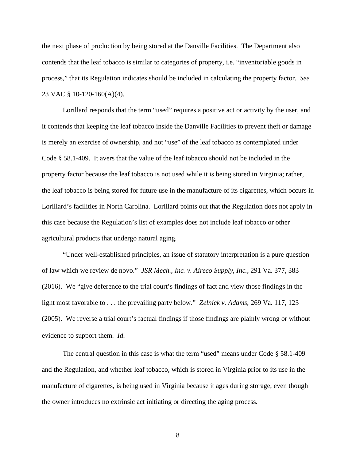the next phase of production by being stored at the Danville Facilities. The Department also contends that the leaf tobacco is similar to categories of property, i.e. "inventoriable goods in process," that its Regulation indicates should be included in calculating the property factor. *See*  23 VAC § 10-120-160(A)(4).

Lorillard responds that the term "used" requires a positive act or activity by the user, and it contends that keeping the leaf tobacco inside the Danville Facilities to prevent theft or damage is merely an exercise of ownership, and not "use" of the leaf tobacco as contemplated under Code § 58.1-409. It avers that the value of the leaf tobacco should not be included in the property factor because the leaf tobacco is not used while it is being stored in Virginia; rather, the leaf tobacco is being stored for future use in the manufacture of its cigarettes, which occurs in Lorillard's facilities in North Carolina. Lorillard points out that the Regulation does not apply in this case because the Regulation's list of examples does not include leaf tobacco or other agricultural products that undergo natural aging.

"Under well-established principles, an issue of statutory interpretation is a pure question of law which we review de novo." *JSR Mech., Inc. v. Aireco Supply, Inc.*, 291 Va. 377, 383 (2016). We "give deference to the trial court's findings of fact and view those findings in the light most favorable to . . . the prevailing party below." *Zelnick v. Adams*, 269 Va. 117, 123 (2005).We reverse a trial court's factual findings if those findings are plainly wrong or without evidence to support them. *Id.*

The central question in this case is what the term "used" means under Code § 58.1-409 and the Regulation, and whether leaf tobacco, which is stored in Virginia prior to its use in the manufacture of cigarettes, is being used in Virginia because it ages during storage, even though the owner introduces no extrinsic act initiating or directing the aging process.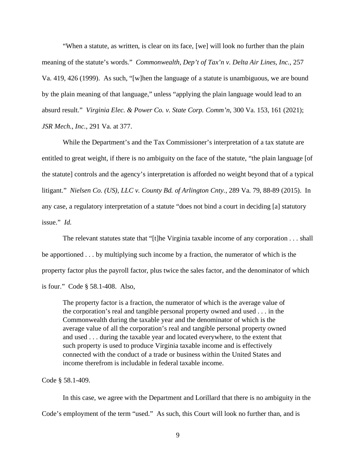"When a statute, as written, is clear on its face, [we] will look no further than the plain meaning of the statute's words." *Commonwealth, Dep't of Tax'n v. Delta Air Lines, Inc.*, 257 Va. 419, 426 (1999).As such, "[w]hen the language of a statute is unambiguous, we are bound by the plain meaning of that language," unless "applying the plain language would lead to an absurd result." *Virginia Elec. & Power Co. v. State Corp. Comm'n*, 300 Va. 153, 161 (2021); *JSR Mech., Inc.*, 291 Va. at 377.

While the Department's and the Tax Commissioner's interpretation of a tax statute are entitled to great weight, if there is no ambiguity on the face of the statute, "the plain language [of the statute] controls and the agency's interpretation is afforded no weight beyond that of a typical litigant." *Nielsen Co. (US), LLC v. County Bd. of Arlington Cnty.*, 289 Va. 79, 88-89 (2015). In any case, a regulatory interpretation of a statute "does not bind a court in deciding [a] statutory issue." *Id.*

The relevant statutes state that "[t]he Virginia taxable income of any corporation . . . shall be apportioned . . . by multiplying such income by a fraction, the numerator of which is the property factor plus the payroll factor, plus twice the sales factor, and the denominator of which is four." Code § 58.1-408. Also,

The property factor is a fraction, the numerator of which is the average value of the corporation's real and tangible personal property owned and used . . . in the Commonwealth during the taxable year and the denominator of which is the average value of all the corporation's real and tangible personal property owned and used . . . during the taxable year and located everywhere, to the extent that such property is used to produce Virginia taxable income and is effectively connected with the conduct of a trade or business within the United States and income therefrom is includable in federal taxable income.

Code § 58.1-409.

In this case, we agree with the Department and Lorillard that there is no ambiguity in the Code's employment of the term "used." As such, this Court will look no further than, and is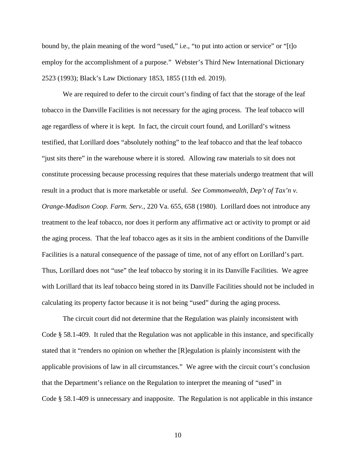bound by, the plain meaning of the word "used," i.e., "to put into action or service" or "[t]o employ for the accomplishment of a purpose." Webster's Third New International Dictionary 2523 (1993); Black's Law Dictionary 1853, 1855 (11th ed. 2019).

We are required to defer to the circuit court's finding of fact that the storage of the leaf tobacco in the Danville Facilities is not necessary for the aging process. The leaf tobacco will age regardless of where it is kept. In fact, the circuit court found, and Lorillard's witness testified, that Lorillard does "absolutely nothing" to the leaf tobacco and that the leaf tobacco "just sits there" in the warehouse where it is stored. Allowing raw materials to sit does not constitute processing because processing requires that these materials undergo treatment that will result in a product that is more marketable or useful. *See Commonwealth, Dep't of Tax'n v. Orange-Madison Coop. Farm. Serv.*, 220 Va. 655, 658 (1980). Lorillard does not introduce any treatment to the leaf tobacco, nor does it perform any affirmative act or activity to prompt or aid the aging process. That the leaf tobacco ages as it sits in the ambient conditions of the Danville Facilities is a natural consequence of the passage of time, not of any effort on Lorillard's part. Thus, Lorillard does not "use" the leaf tobacco by storing it in its Danville Facilities. We agree with Lorillard that its leaf tobacco being stored in its Danville Facilities should not be included in calculating its property factor because it is not being "used" during the aging process.

The circuit court did not determine that the Regulation was plainly inconsistent with Code § 58.1-409. It ruled that the Regulation was not applicable in this instance, and specifically stated that it "renders no opinion on whether the [R]egulation is plainly inconsistent with the applicable provisions of law in all circumstances." We agree with the circuit court's conclusion that the Department's reliance on the Regulation to interpret the meaning of "used" in Code § 58.1-409 is unnecessary and inapposite. The Regulation is not applicable in this instance